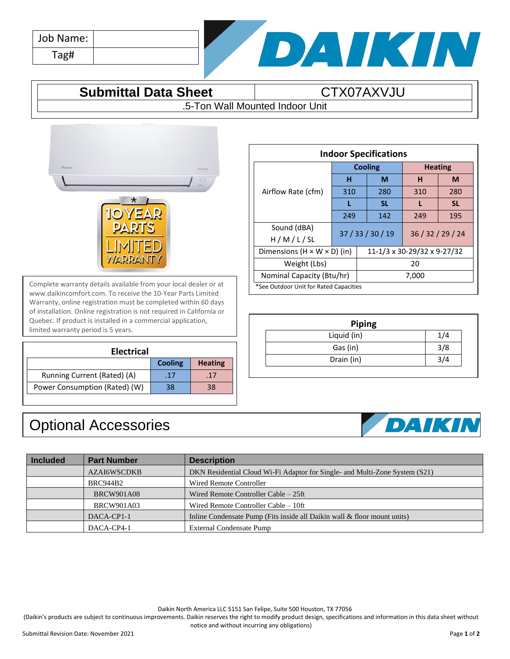| Job Name: |  |
|-----------|--|
| Tag#      |  |



## **Submittal Data Sheet CTX07AXVJU**

.5-Ton Wall Mounted Indoor Unit



Complete warranty details available from your local dealer or at www.daikincomfort.com. To receive the 10-Year Parts Limited Warranty, online registration must be completed within 60 days of installation. Online registration is not required in California or Quebec. If product is installed in a commercial application, limited warranty period is 5 years.

| <b>Electrical</b>             |                |                |  |  |
|-------------------------------|----------------|----------------|--|--|
|                               | <b>Cooling</b> | <b>Heating</b> |  |  |
| Running Current (Rated) (A)   | .17            | .17            |  |  |
| Power Consumption (Rated) (W) | 38             | 38             |  |  |

## Optional Accessories

| <b>Indoor Specifications</b>            |                   |                             |                |     |           |
|-----------------------------------------|-------------------|-----------------------------|----------------|-----|-----------|
|                                         | <b>Cooling</b>    |                             | <b>Heating</b> |     |           |
| Airflow Rate (cfm)                      | н                 |                             | M              | н   | M         |
|                                         | 310               |                             | 280            | 310 | 280       |
|                                         | L                 |                             | <b>SL</b>      |     | <b>SL</b> |
|                                         | 249               |                             | 142            | 249 | 195       |
| Sound (dBA)<br>H/M/L/SL                 | 37 / 33 / 30 / 19 |                             | 36/32/29/24    |     |           |
| Dimensions $(H \times W \times D)$ (in) |                   | 11-1/3 x 30-29/32 x 9-27/32 |                |     |           |
| Weight (Lbs)                            |                   | 20                          |                |     |           |
| Nominal Capacity (Btu/hr)               |                   | 7,000                       |                |     |           |
| *See Outdoor Unit for Rated Capacities  |                   |                             |                |     |           |

| <b>Piping</b> |     |  |  |  |
|---------------|-----|--|--|--|
| Liquid (in)   |     |  |  |  |
| Gas (in)      | 3/8 |  |  |  |
| Drain (in)    |     |  |  |  |



| <b>Included</b> | <b>Part Number</b> | <b>Description</b>                                                          |
|-----------------|--------------------|-----------------------------------------------------------------------------|
|                 | <b>AZAI6WSCDKB</b> | DKN Residential Cloud Wi-Fi Adaptor for Single- and Multi-Zone System (S21) |
|                 | <b>BRC944B2</b>    | Wired Remote Controller                                                     |
|                 | <b>BRCW901A08</b>  | Wired Remote Controller Cable – 25ft                                        |
|                 | <b>BRCW901A03</b>  | Wired Remote Controller Cable – 10ft                                        |
|                 | DACA-CP1-1         | Inline Condensate Pump (Fits inside all Daikin wall & floor mount units)    |
|                 | DACA-CP4-1         | External Condensate Pump                                                    |

Daikin North America LLC 5151 San Felipe, Suite 500 Houston, TX 77056

(Daikin's products are subject to continuous improvements. Daikin reserves the right to modify product design, specifications and information in this data sheet without notice and without incurring any obligations)